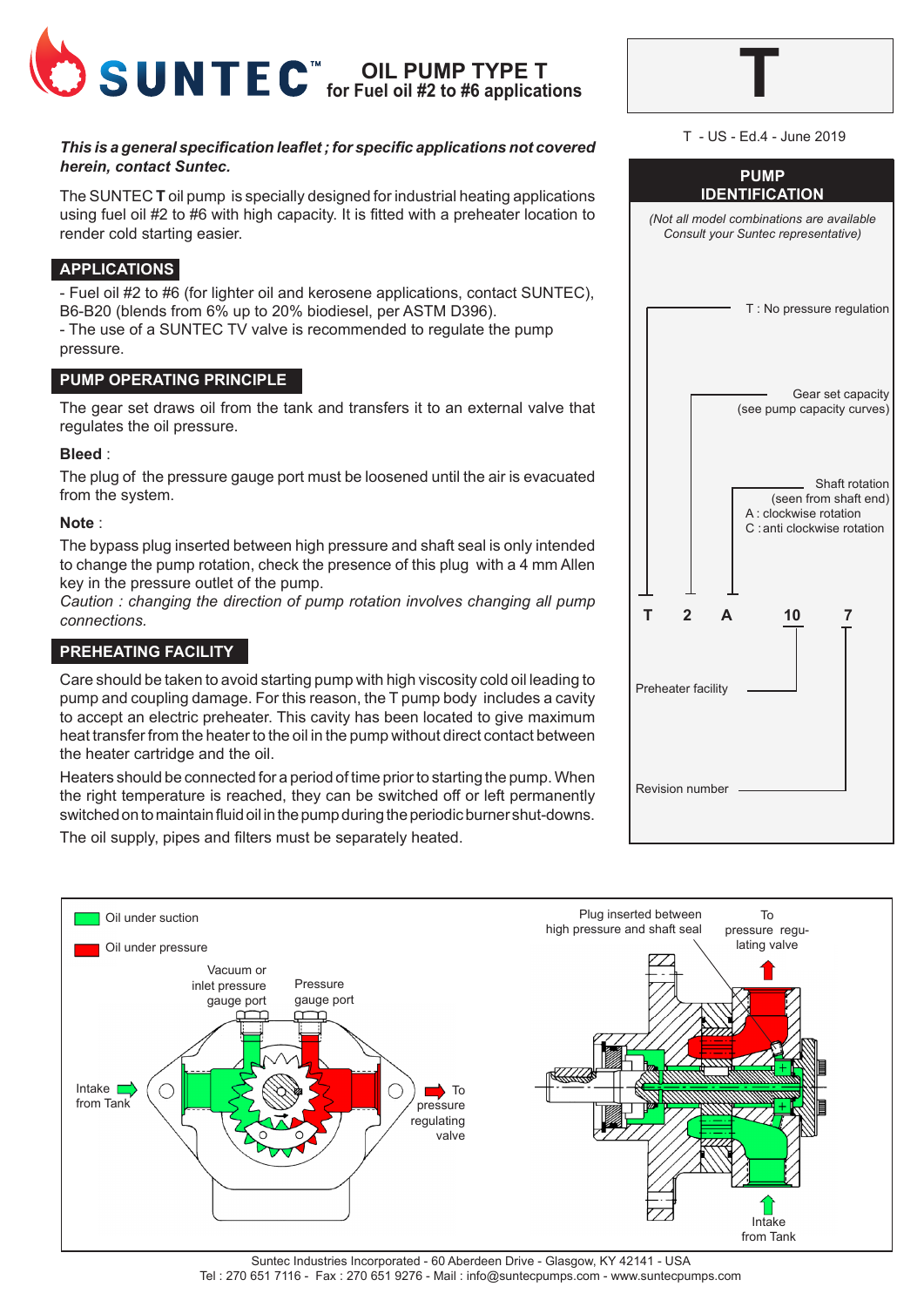

# *This is a general specification leaflet ; for specific applications not covered herein, contact Suntec.*

The SUNTEC **T** oil pump is specially designed for industrial heating applications using fuel oil #2 to #6 with high capacity. It is fitted with a preheater location to render cold starting easier.

# **APPLICATIONS**

- Fuel oil #2 to #6 (for lighter oil and kerosene applications, contact SUNTEC), B6-B20 (blends from 6% up to 20% biodiesel, per ASTM D396).

- The use of a SUNTEC TV valve is recommended to regulate the pump pressure.

# **PUMP OPERATING PRINCIPLE**

The gear set draws oil from the tank and transfers it to an external valve that regulates the oil pressure.

#### **Bleed** :

The plug of the pressure gauge port must be loosened until the air is evacuated from the system.

#### **Note** :

The bypass plug inserted between high pressure and shaft seal is only intended to change the pump rotation, check the presence of this plug with a 4 mm Allen key in the pressure outlet of the pump.

*Caution : changing the direction of pump rotation involves changing all pump connections.*

# **PREHEATING FACILITY**

Care should be taken to avoid starting pump with high viscosity cold oil leading to pump and coupling damage. For this reason, the T pump body includes a cavity to accept an electric preheater. This cavity has been located to give maximum heat transfer from the heater to the oil in the pump without direct contact between the heater cartridge and the oil.

Heaters should be connected for a period of time prior to starting the pump. When the right temperature is reached, they can be switched off or left permanently switched on to maintain fluid oil in the pump during the periodic burner shut-downs. The oil supply, pipes and filters must be separately heated.

| T - US - Ed.4 - June 2019                                                                        |  |  |  |
|--------------------------------------------------------------------------------------------------|--|--|--|
| <b>PUMP</b><br><b>IDENTIFICATION</b>                                                             |  |  |  |
| (Not all model combinations are available<br>Consult your Suntec representative)                 |  |  |  |
| T : No pressure regulation                                                                       |  |  |  |
| Gear set capacity<br>(see pump capacity curves)                                                  |  |  |  |
| Shaft rotation<br>(seen from shaft end)<br>A : clockwise rotation<br>C : anti clockwise rotation |  |  |  |
| T<br>$\mathbf 2$<br>10<br>A                                                                      |  |  |  |
| Preheater facility                                                                               |  |  |  |
| <b>Revision number</b>                                                                           |  |  |  |

**T**